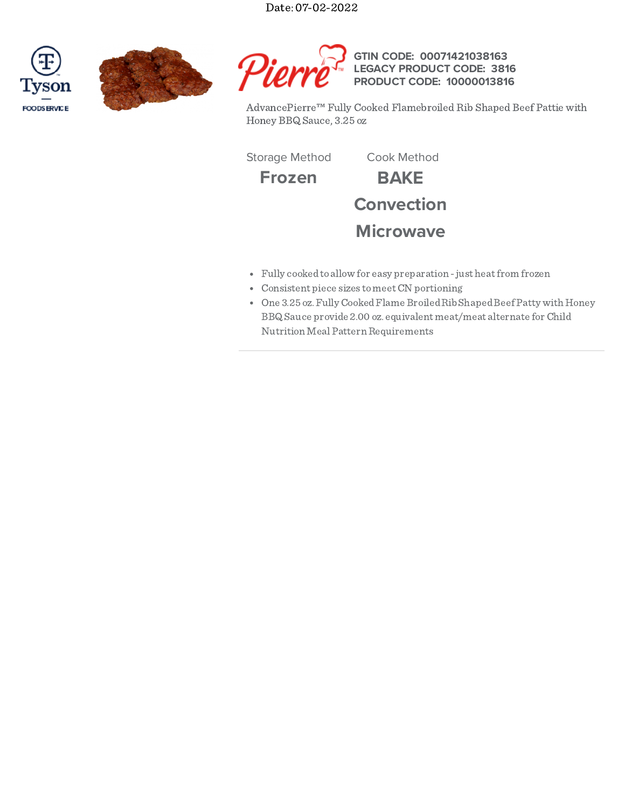Date: 07-02-2022







AdvancePierre™ Fully Cooked Flamebroiled Rib Shaped Beef Pattie with Honey BBQ Sauce, 3.25 oz

**3816**

Storage Method Cook Method

**Frozen BAKE Convection Microwave**

- Fully cookedto allow for easy preparation -just heatfrom frozen
- Consistent piece sizes tomeetCN portioning
- One 3.25 oz.FullyCookedFlame BroiledRibShapedBeef Patty with Honey BBQ Sauce provide 2.00 oz. equivalent meat/meat alternate forChild Nutrition Meal Pattern Requirements